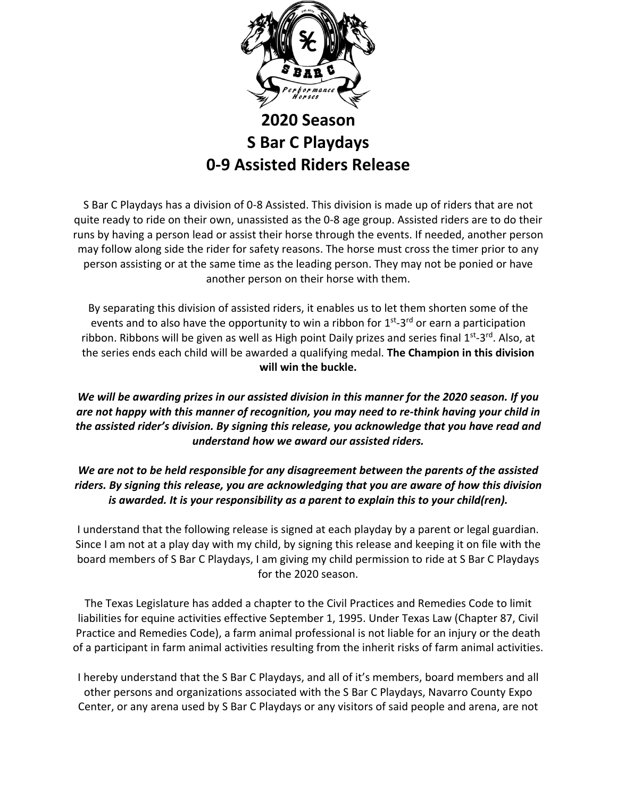

## **2020 Season S Bar C Playdays 0-9 Assisted Riders Release**

S Bar C Playdays has a division of 0-8 Assisted. This division is made up of riders that are not quite ready to ride on their own, unassisted as the 0-8 age group. Assisted riders are to do their runs by having a person lead or assist their horse through the events. If needed, another person may follow along side the rider for safety reasons. The horse must cross the timer prior to any person assisting or at the same time as the leading person. They may not be ponied or have another person on their horse with them.

By separating this division of assisted riders, it enables us to let them shorten some of the events and to also have the opportunity to win a ribbon for 1<sup>st</sup>-3<sup>rd</sup> or earn a participation ribbon. Ribbons will be given as well as High point Daily prizes and series final 1<sup>st</sup>-3<sup>rd</sup>. Also, at the series ends each child will be awarded a qualifying medal. **The Champion in this division will win the buckle.**

## *We will be awarding prizes in our assisted division in this manner for the 2020 season. If you are not happy with this manner of recognition, you may need to re-think having your child in the assisted rider's division. By signing this release, you acknowledge that you have read and understand how we award our assisted riders.*

## *We are not to be held responsible for any disagreement between the parents of the assisted riders. By signing this release, you are acknowledging that you are aware of how this division is awarded. It is your responsibility as a parent to explain this to your child(ren).*

I understand that the following release is signed at each playday by a parent or legal guardian. Since I am not at a play day with my child, by signing this release and keeping it on file with the board members of S Bar C Playdays, I am giving my child permission to ride at S Bar C Playdays for the 2020 season.

The Texas Legislature has added a chapter to the Civil Practices and Remedies Code to limit liabilities for equine activities effective September 1, 1995. Under Texas Law (Chapter 87, Civil Practice and Remedies Code), a farm animal professional is not liable for an injury or the death of a participant in farm animal activities resulting from the inherit risks of farm animal activities.

I hereby understand that the S Bar C Playdays, and all of it's members, board members and all other persons and organizations associated with the S Bar C Playdays, Navarro County Expo Center, or any arena used by S Bar C Playdays or any visitors of said people and arena, are not